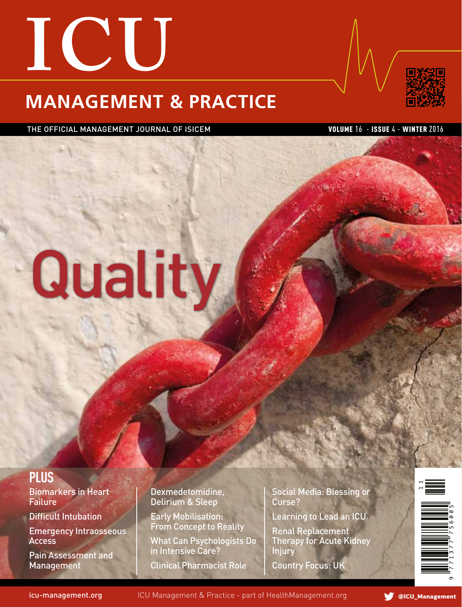# **ICU MANAGEMENT & PRACTICE**



THE OFFICIAL MANAGEMENT JOURNAL OF ISICEM VOLUME 16 - ISSUE 4 - WINTER 2016

# **Quality**

# **Plus**

Biomarkers in Heart Failure

Difficult Intubation

Emergency Intraosseous Access

Pain Assessment and Management

Dexmedetomidine, Delirium & Sleep

Early Mobilisation: From Concept to Reality

What Can Psychologists Do in Intensive Care?

Clinical Pharmacist Role

Social Media: Blessing or Curse?

Learning to Lead an ICU

Renal Replacement Therapy for Acute Kidney Injury Country Focus: UK



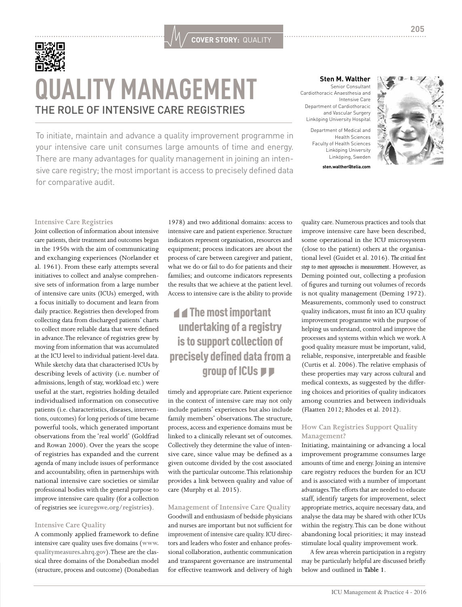

# **QUALITY MANAGEMENT** THE ROLE OF INTENSIVE CARE REGISTRIES

To initiate, maintain and advance a quality improvement programme in your intensive care unit consumes large amounts of time and energy. There are many advantages for quality management in joining an intensive care registry; the most important is access to precisely defined data for comparative audit.

#### **Sten M. Walther** Senior Consultant Cardiothoracic Anaesthesia and

Intensive Care Department of Cardiothoracic and Vascular Surgery Linköping University Hospital

Department of Medical and Health Sciences Faculty of Health Sciences Linköping University Linköping, Sweden





#### **Intensive Care Registries**

Joint collection of information about intensive care patients, their treatment and outcomes began in the 1950s with the aim of communicating and exchanging experiences (Norlander et al. 1961). From these early attempts several initiatives to collect and analyse comprehensive sets of information from a large number of intensive care units (ICUs) emerged, with a focus initially to document and learn from daily practice. Registries then developed from collecting data from discharged patients' charts to collect more reliable data that were defined in advance. The relevance of registries grew by moving from information that was accumulated at the ICU level to individual patient-level data. While sketchy data that characterised ICUs by describing levels of activity (i.e. number of admissions, length of stay, workload etc.) were useful at the start, registries holding detailed individualised information on consecutive patients (i.e. characteristics, diseases, interventions, outcomes) for long periods of time became powerful tools, which generated important observations from the 'real world' (Goldfrad and Rowan 2000). Over the years the scope of registries has expanded and the current agenda of many include issues of performance and accountability, often in partnerships with national intensive care societies or similar professional bodies with the general purpose to improve intensive care quality (for a collection of registries see **icuregswe.org/registries**).

#### **Intensive Care Quality**

A commonly applied framework to define intensive care quality uses five domains (**www. qualitymeasures.ahrq.gov**). These are the classical three domains of the Donabedian model (structure, process and outcome) (Donabedian

1978) and two additional domains: access to intensive care and patient experience. Structure indicators represent organisation, resources and equipment; process indicators are about the process of care between caregiver and patient, what we do or fail to do for patients and their families; and outcome indicators represents the results that we achieve at the patient level. Access to intensive care is the ability to provide

**COVER STORY:** QUALITY

## $\blacktriangleleft$  The most important undertaking of a registry is to support collection of precisely defined data from a group of ICUs  $\blacktriangleright$

timely and appropriate care. Patient experience in the context of intensive care may not only include patients' experiences but also include family members' observations. The structure, process, access and experience domains must be linked to a clinically relevant set of outcomes. Collectively they determine the value of intensive care, since value may be defined as a given outcome divided by the cost associated with the particular outcome. This relationship provides a link between quality and value of care (Murphy et al. 2015).

#### **Management of Intensive Care Quality**

Goodwill and enthusiasm of bedside physicians and nurses are important but not sufficient for improvement of intensive care quality. ICU directors and leaders who foster and enhance professional collaboration, authentic communication and transparent governance are instrumental for effective teamwork and delivery of high

quality care. Numerous practices and tools that improve intensive care have been described, some operational in the ICU microsystem (close to the patient) others at the organisational level (Guidet et al. 2016). *The critical first step to most approaches is measurement*. However, as Deming pointed out, collecting a profusion of figures and turning out volumes of records is not quality management (Deming 1972). Measurements, commonly used to construct quality indicators, must fit into an ICU quality improvement programme with the purpose of helping us understand, control and improve the processes and systems within which we work. A good quality measure must be important, valid, reliable, responsive, interpretable and feasible (Curtis et al. 2006). The relative emphasis of these properties may vary across cultural and medical contexts, as suggested by the differing choices and priorities of quality indicators among countries and between individuals (Flaatten 2012; Rhodes et al. 2012).

#### **How Can Registries Support Quality Management?**

Initiating, maintaining or advancing a local improvement programme consumes large amounts of time and energy. Joining an intensive care registry reduces the burden for an ICU and is associated with a number of important advantages. The efforts that are needed to educate staff, identify targets for improvement, select appropriate metrics, acquire necessary data, and analyse the data may be shared with other ICUs within the registry. This can be done without abandoning local priorities; it may instead stimulate local quality improvement work.

A few areas wherein participation in a registry may be particularly helpful are discussed briefly below and outlined in **Table 1**.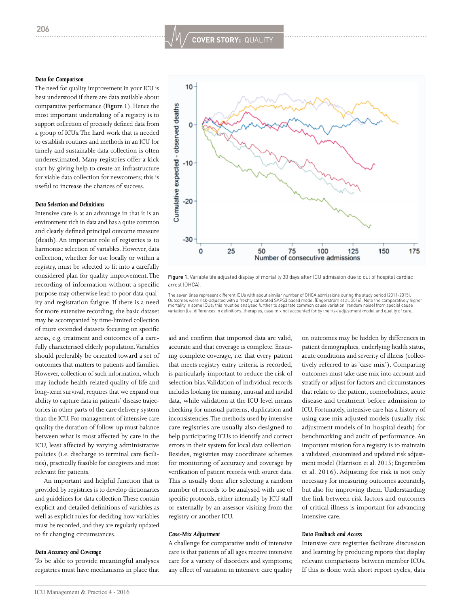#### *Data for Comparison*

The need for quality improvement in your ICU is best understood if there are data available about comparative performance (**Figure 1**). Hence the most important undertaking of a registry is to support collection of precisely defined data from a group of ICUs. The hard work that is needed to establish routines and methods in an ICU for timely and sustainable data collection is often underestimated. Many registries offer a kick start by giving help to create an infrastructure for viable data collection for newcomers; this is useful to increase the chances of success.

#### *Data Selection and Definitions*

Intensive care is at an advantage in that it is an environment rich in data and has a quite common and clearly defined principal outcome measure (death). An important role of registries is to harmonise selection of variables. However, data collection, whether for use locally or within a registry, must be selected to fit into a carefully considered plan for quality improvement. The recording of information without a specific purpose may otherwise lead to poor data quality and registration fatigue. If there is a need for more extensive recording, the basic dataset may be accompanied by time-limited collection of more extended datasets focusing on specific areas, e.g. treatment and outcomes of a carefully characterised elderly population. Variables should preferably be oriented toward a set of outcomes that matters to patients and families. However, collection of such information, which may include health-related quality of life and long-term survival, requires that we expand our ability to capture data in patients' disease trajectories in other parts of the care delivery system than the ICU. For management of intensive care quality the duration of follow-up must balance between what is most affected by care in the ICU, least affected by varying administrative policies (i.e. discharge to terminal care facilities), practically feasible for caregivers and most relevant for patients.

An important and helpful function that is provided by registries is to develop dictionaries and guidelines for data collection. These contain explicit and detailed definitions of variables as well as explicit rules for deciding how variables must be recorded, and they are regularly updated to fit changing circumstances.

#### *Data Accuracy and Coverage*

To be able to provide meaningful analyses registries must have mechanisms in place that



Figure 1. Variable life adjusted display of mortality 30 days after ICU admission due to out of hospital cardiac arrest (OHCA).

The seven lines represent different ICUs with about similar number of OHCA admissions during the study period (2011-2015).<br>Outcomes were risk-adjusted with a freshly calibrated SAPS3 based model (Engerström et al. 2016). N variation (i.e. differences in definitions, therapies, case mix not accounted for by the risk adjustment model and quality of care).

aid and confirm that imported data are valid, accurate and that coverage is complete. Ensuring complete coverage, i.e. that every patient that meets registry entry criteria is recorded, is particularly important to reduce the risk of selection bias. Validation of individual records includes looking for missing, unusual and invalid data, while validation at the ICU level means checking for unusual patterns, duplication and inconsistencies. The methods used by intensive care registries are usually also designed to help participating ICUs to identify and correct errors in their system for local data collection. Besides, registries may coordinate schemes for monitoring of accuracy and coverage by verification of patient records with source data. This is usually done after selecting a random number of records to be analysed with use of specific protocols, either internally by ICU staff or externally by an assessor visiting from the registry or another ICU.

#### *Case-Mix Adjustment*

A challenge for comparative audit of intensive care is that patients of all ages receive intensive care for a variety of disorders and symptoms; any effect of variation in intensive care quality

on outcomes may be hidden by differences in patient demographics, underlying health status, acute conditions and severity of illness (collectively referred to as 'case mix'). Comparing outcomes must take case mix into account and stratify or adjust for factors and circumstances that relate to the patient, comorbidities, acute disease and treatment before admission to ICU. Fortunately, intensive care has a history of using case mix adjusted models (usually risk adjustment models of in-hospital death) for benchmarking and audit of performance. An important mission for a registry is to maintain a validated, customised and updated risk adjustment model (Harrison et al. 2015; Engerström et al. 2016). Adjusting for risk is not only necessary for measuring outcomes accurately, but also for improving them. Understanding the link between risk factors and outcomes of critical illness is important for advancing intensive care.

#### *Data Feedback and Access*

Intensive care registries facilitate discussion and learning by producing reports that display relevant comparisons between member ICUs. If this is done with short report cycles, data